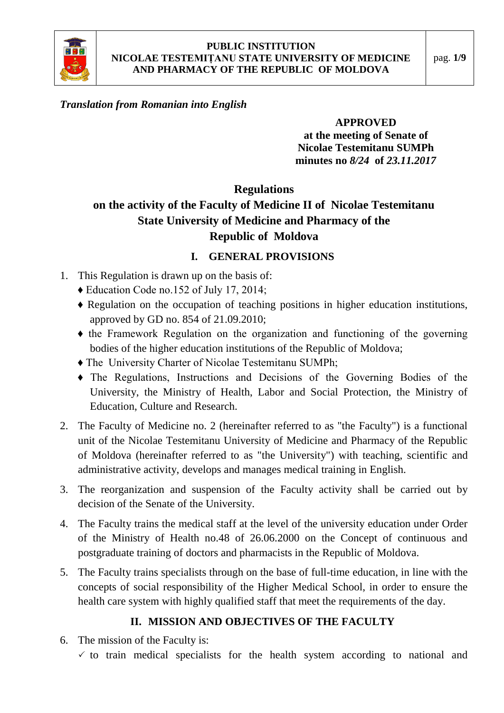

### *Translation from Romanian into English*

#### **APPROVED**

**at the meeting of Senate of Nicolae Testemitanu SUMPh minutes no** *8/24* **of** *23.11.2017*

# **Regulations**

# **on the activity of the Faculty of Medicine II of Nicolae Testemitanu State University of Medicine and Pharmacy of the Republic of Moldova**

### **I. GENERAL PROVISIONS**

- 1. This Regulation is drawn up on the basis of:
	- ♦ Education Code no.152 of July 17, 2014;
	- ♦ Regulation on the occupation of teaching positions in higher education institutions, approved by GD no. 854 of 21.09.2010;
	- ♦ the Framework Regulation on the organization and functioning of the governing bodies of the higher education institutions of the Republic of Moldova;
	- ♦ The University Charter of Nicolae Testemitanu SUMPh;
	- ♦ The Regulations, Instructions and Decisions of the Governing Bodies of the University, the Ministry of Health, Labor and Social Protection, the Ministry of Education, Culture and Research.
- 2. The Faculty of Medicine no. 2 (hereinafter referred to as "the Faculty") is a functional unit of the Nicolae Testemitanu University of Medicine and Pharmacy of the Republic of Moldova (hereinafter referred to as "the University") with teaching, scientific and administrative activity, develops and manages medical training in English.
- 3. The reorganization and suspension of the Faculty activity shall be carried out by decision of the Senate of the University.
- 4. The Faculty trains the medical staff at the level of the university education under Order of the Ministry of Health no.48 of 26.06.2000 on the Concept of continuous and postgraduate training of doctors and pharmacists in the Republic of Moldova.
- 5. The Faculty trains specialists through on the base of full-time education, in line with the concepts of social responsibility of the Higher Medical School, in order to ensure the health care system with highly qualified staff that meet the requirements of the day.

### **II. MISSION AND OBJECTIVES OF THE FACULTY**

6. The mission of the Faculty is:  $\checkmark$  to train medical specialists for the health system according to national and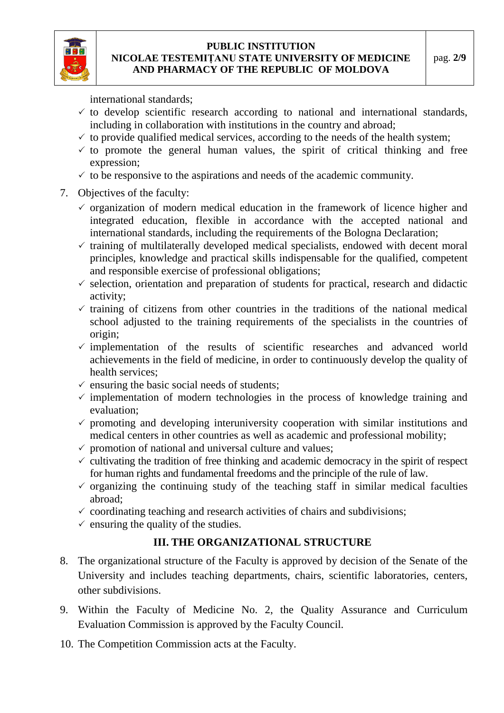

international standards;

- $\checkmark$  to develop scientific research according to national and international standards, including in collaboration with institutions in the country and abroad;
- $\checkmark$  to provide qualified medical services, according to the needs of the health system;
- $\checkmark$  to promote the general human values, the spirit of critical thinking and free expression;
- $\checkmark$  to be responsive to the aspirations and needs of the academic community.
- 7. Objectives of the faculty:
	- $\checkmark$  organization of modern medical education in the framework of licence higher and integrated education, flexible in accordance with the accepted national and international standards, including the requirements of the Bologna Declaration;
	- $\checkmark$  training of multilaterally developed medical specialists, endowed with decent moral principles, knowledge and practical skills indispensable for the qualified, competent and responsible exercise of professional obligations;
	- $\checkmark$  selection, orientation and preparation of students for practical, research and didactic activity;
	- $\checkmark$  training of citizens from other countries in the traditions of the national medical school adjusted to the training requirements of the specialists in the countries of origin;
	- $\checkmark$  implementation of the results of scientific researches and advanced world achievements in the field of medicine, in order to continuously develop the quality of health services;
	- $\checkmark$  ensuring the basic social needs of students;
	- $\checkmark$  implementation of modern technologies in the process of knowledge training and evaluation;
	- $\checkmark$  promoting and developing interuniversity cooperation with similar institutions and medical centers in other countries as well as academic and professional mobility;
	- $\checkmark$  promotion of national and universal culture and values;
	- $\checkmark$  cultivating the tradition of free thinking and academic democracy in the spirit of respect for human rights and fundamental freedoms and the principle of the rule of law.
	- $\checkmark$  organizing the continuing study of the teaching staff in similar medical faculties abroad;
	- $\checkmark$  coordinating teaching and research activities of chairs and subdivisions;
	- $\checkmark$  ensuring the quality of the studies.

# **III. THE ORGANIZATIONAL STRUCTURE**

- 8. The organizational structure of the Faculty is approved by decision of the Senate of the University and includes teaching departments, chairs, scientific laboratories, centers, other subdivisions.
- 9. Within the Faculty of Medicine No. 2, the Quality Assurance and Curriculum Evaluation Commission is approved by the Faculty Council.
- 10. The Competition Commission acts at the Faculty.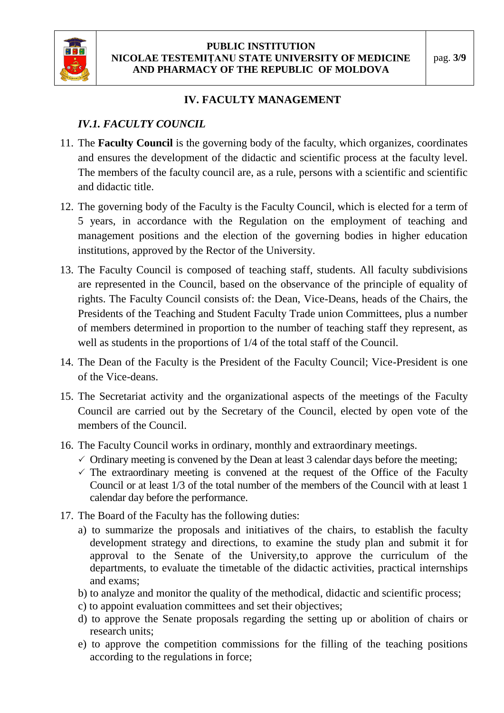

### **IV. FACULTY MANAGEMENT**

# *IV.1. FACULTY COUNCIL*

- 11. The **Faculty Council** is the governing body of the faculty, which organizes, coordinates and ensures the development of the didactic and scientific process at the faculty level. The members of the faculty council are, as a rule, persons with a scientific and scientific and didactic title.
- 12. The governing body of the Faculty is the Faculty Council, which is elected for a term of 5 years, in accordance with the Regulation on the employment of teaching and management positions and the election of the governing bodies in higher education institutions, approved by the Rector of the University.
- 13. The Faculty Council is composed of teaching staff, students. All faculty subdivisions are represented in the Council, based on the observance of the principle of equality of rights. The Faculty Council consists of: the Dean, Vice-Deans, heads of the Chairs, the Presidents of the Teaching and Student Faculty Trade union Committees, plus a number of members determined in proportion to the number of teaching staff they represent, as well as students in the proportions of 1/4 of the total staff of the Council.
- 14. The Dean of the Faculty is the President of the Faculty Council; Vice-President is one of the Vice-deans.
- 15. The Secretariat activity and the organizational aspects of the meetings of the Faculty Council are carried out by the Secretary of the Council, elected by open vote of the members of the Council.
- 16. The Faculty Council works in ordinary, monthly and extraordinary meetings.
	- $\checkmark$  Ordinary meeting is convened by the Dean at least 3 calendar days before the meeting;
	- $\checkmark$  The extraordinary meeting is convened at the request of the Office of the Faculty Council or at least 1/3 of the total number of the members of the Council with at least 1 calendar day before the performance.
- 17. The Board of the Faculty has the following duties:
	- a) to summarize the proposals and initiatives of the chairs, to establish the faculty development strategy and directions, to examine the study plan and submit it for approval to the Senate of the University,to approve the curriculum of the departments, to evaluate the timetable of the didactic activities, practical internships and exams;
	- b) to analyze and monitor the quality of the methodical, didactic and scientific process;
	- c) to appoint evaluation committees and set their objectives;
	- d) to approve the Senate proposals regarding the setting up or abolition of chairs or research units;
	- e) to approve the competition commissions for the filling of the teaching positions according to the regulations in force;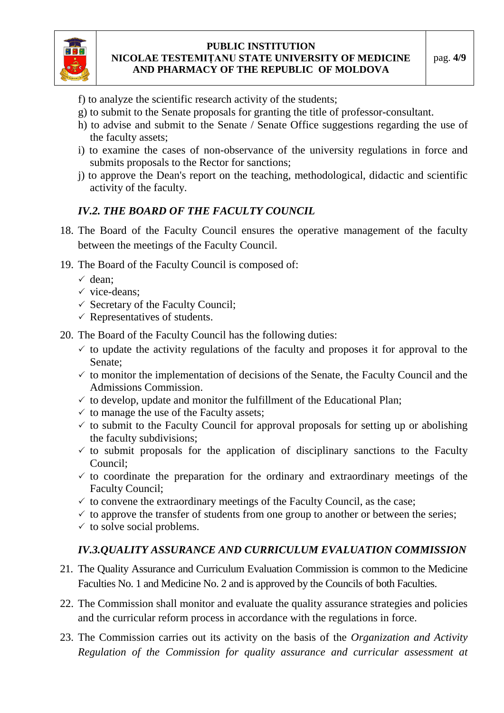

- f) to analyze the scientific research activity of the students;
- g) to submit to the Senate proposals for granting the title of professor-consultant.
- h) to advise and submit to the Senate / Senate Office suggestions regarding the use of the faculty assets;
- i) to examine the cases of non-observance of the university regulations in force and submits proposals to the Rector for sanctions;
- j) to approve the Dean's report on the teaching, methodological, didactic and scientific activity of the faculty.

### *IV.2. THE BOARD OF THE FACULTY COUNCIL*

- 18. The Board of the Faculty Council ensures the operative management of the faculty between the meetings of the Faculty Council.
- 19. The Board of the Faculty Council is composed of:
	- $\checkmark$  dean:
	- $\checkmark$  vice-deans:
	- $\checkmark$  Secretary of the Faculty Council;
	- $\checkmark$  Representatives of students.
- 20. The Board of the Faculty Council has the following duties:
	- $\checkmark$  to update the activity regulations of the faculty and proposes it for approval to the Senate;
	- $\checkmark$  to monitor the implementation of decisions of the Senate, the Faculty Council and the Admissions Commission.
	- $\checkmark$  to develop, update and monitor the fulfillment of the Educational Plan;
	- $\checkmark$  to manage the use of the Faculty assets;
	- $\checkmark$  to submit to the Faculty Council for approval proposals for setting up or abolishing the faculty subdivisions;
	- $\checkmark$  to submit proposals for the application of disciplinary sanctions to the Faculty Council;
	- $\checkmark$  to coordinate the preparation for the ordinary and extraordinary meetings of the Faculty Council;
	- $\checkmark$  to convene the extraordinary meetings of the Faculty Council, as the case;
	- $\checkmark$  to approve the transfer of students from one group to another or between the series;
	- $\checkmark$  to solve social problems.

# *IV.3.QUALITY ASSURANCE AND CURRICULUM EVALUATION COMMISSION*

- 21. The Quality Assurance and Curriculum Evaluation Commission is common to the Medicine Faculties No. 1 and Medicine No. 2 and is approved by the Councils of both Faculties.
- 22. The Commission shall monitor and evaluate the quality assurance strategies and policies and the curricular reform process in accordance with the regulations in force.
- 23. The Commission carries out its activity on the basis of the *Organization and Activity Regulation of the Commission for quality assurance and curricular assessment at*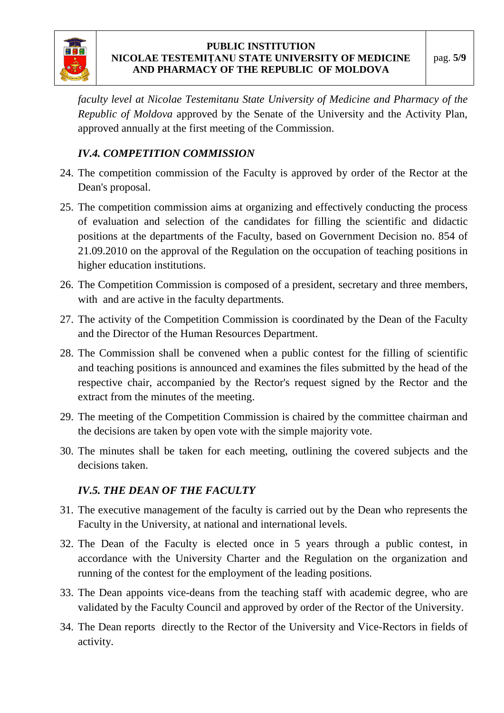

*faculty level at Nicolae Testemitanu State University of Medicine and Pharmacy of the Republic of Moldova* approved by the Senate of the University and the Activity Plan, approved annually at the first meeting of the Commission.

# *IV.4. COMPETITION COMMISSION*

- 24. The competition commission of the Faculty is approved by order of the Rector at the Dean's proposal.
- 25. The competition commission aims at organizing and effectively conducting the process of evaluation and selection of the candidates for filling the scientific and didactic positions at the departments of the Faculty, based on Government Decision no. 854 of 21.09.2010 on the approval of the Regulation on the occupation of teaching positions in higher education institutions.
- 26. The Competition Commission is composed of a president, secretary and three members, with and are active in the faculty departments.
- 27. The activity of the Competition Commission is coordinated by the Dean of the Faculty and the Director of the Human Resources Department.
- 28. The Commission shall be convened when a public contest for the filling of scientific and teaching positions is announced and examines the files submitted by the head of the respective chair, accompanied by the Rector's request signed by the Rector and the extract from the minutes of the meeting.
- 29. The meeting of the Competition Commission is chaired by the committee chairman and the decisions are taken by open vote with the simple majority vote.
- 30. The minutes shall be taken for each meeting, outlining the covered subjects and the decisions taken.

### *IV.5. THE DEAN OF THE FACULTY*

- 31. The executive management of the faculty is carried out by the Dean who represents the Faculty in the University, at national and international levels.
- 32. The Dean of the Faculty is elected once in 5 years through a public contest, in accordance with the University Charter and the Regulation on the organization and running of the contest for the employment of the leading positions.
- 33. The Dean appoints vice-deans from the teaching staff with academic degree, who are validated by the Faculty Council and approved by order of the Rector of the University.
- 34. The Dean reports directly to the Rector of the University and Vice-Rectors in fields of activity.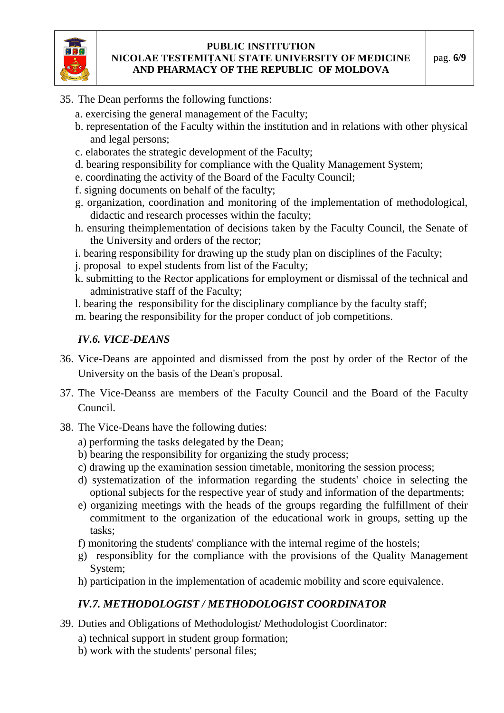

- 35. The Dean performs the following functions:
	- a. exercising the general management of the Faculty;
	- b. representation of the Faculty within the institution and in relations with other physical and legal persons;
	- c. elaborates the strategic development of the Faculty;
	- d. bearing responsibility for compliance with the Quality Management System;
	- e. coordinating the activity of the Board of the Faculty Council;
	- f. signing documents on behalf of the faculty;
	- g. organization, coordination and monitoring of the implementation of methodological, didactic and research processes within the faculty;
	- h. ensuring theimplementation of decisions taken by the Faculty Council, the Senate of the University and orders of the rector;
	- i. bearing responsibility for drawing up the study plan on disciplines of the Faculty;
	- j. proposal to expel students from list of the Faculty;
	- k. submitting to the Rector applications for employment or dismissal of the technical and administrative staff of the Faculty;

l. bearing the responsibility for the disciplinary compliance by the faculty staff; m. bearing the responsibility for the proper conduct of job competitions.

# *IV.6. VICE-DEANS*

- 36. Vice-Deans are appointed and dismissed from the post by order of the Rector of the University on the basis of the Dean's proposal.
- 37. The Vice-Deanss are members of the Faculty Council and the Board of the Faculty Council.
- 38. The Vice-Deans have the following duties:
	- a) performing the tasks delegated by the Dean;
	- b) bearing the responsibility for organizing the study process;
	- c) drawing up the examination session timetable, monitoring the session process;
	- d) systematization of the information regarding the students' choice in selecting the optional subjects for the respective year of study and information of the departments;
	- e) organizing meetings with the heads of the groups regarding the fulfillment of their commitment to the organization of the educational work in groups, setting up the tasks;
	- f) monitoring the students' compliance with the internal regime of the hostels;
	- g) responsiblity for the compliance with the provisions of the Quality Management System;
	- h) participation in the implementation of academic mobility and score equivalence.

# *IV.7. METHODOLOGIST / METHODOLOGIST COORDINATOR*

- 39. Duties and Obligations of Methodologist/ Methodologist Coordinator:
	- a) technical support in student group formation;
	- b) work with the students' personal files;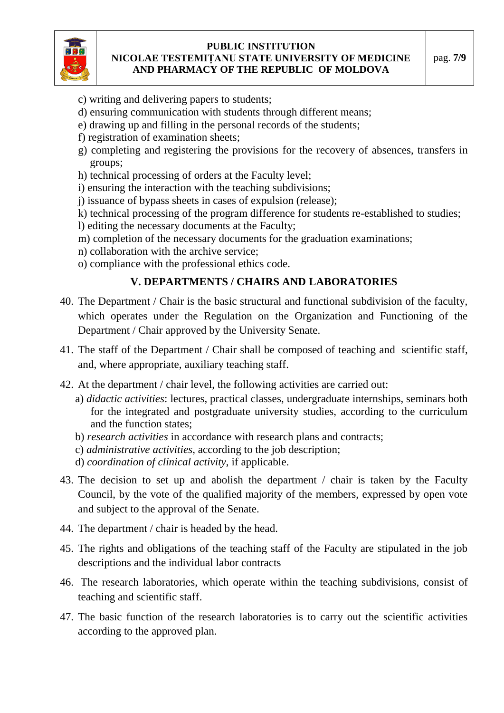

- c) writing and delivering papers to students;
- d) ensuring communication with students through different means;
- e) drawing up and filling in the personal records of the students;
- f) registration of examination sheets;
- g) completing and registering the provisions for the recovery of absences, transfers in groups;
- h) technical processing of orders at the Faculty level;
- i) ensuring the interaction with the teaching subdivisions;
- j) issuance of bypass sheets in cases of expulsion (release);
- k) technical processing of the program difference for students re-established to studies;
- l) editing the necessary documents at the Faculty;
- m) completion of the necessary documents for the graduation examinations;
- n) collaboration with the archive service;
- o) compliance with the professional ethics code.

# **V. DEPARTMENTS / CHAIRS AND LABORATORIES**

- 40. The Department / Chair is the basic structural and functional subdivision of the faculty, which operates under the Regulation on the Organization and Functioning of the Department / Chair approved by the University Senate.
- 41. The staff of the Department / Chair shall be composed of teaching and scientific staff, and, where appropriate, auxiliary teaching staff.
- 42. At the department / chair level, the following activities are carried out:
	- a) *didactic activities*: lectures, practical classes, undergraduate internships, seminars both for the integrated and postgraduate university studies, according to the curriculum and the function states;
	- b) *research activities* in accordance with research plans and contracts;
	- c) *administrative activities*, according to the job description;
	- d) *coordination of clinical activity*, if applicable.
- 43. The decision to set up and abolish the department / chair is taken by the Faculty Council, by the vote of the qualified majority of the members, expressed by open vote and subject to the approval of the Senate.
- 44. The department / chair is headed by the head.
- 45. The rights and obligations of the teaching staff of the Faculty are stipulated in the job descriptions and the individual labor contracts
- 46. The research laboratories, which operate within the teaching subdivisions, consist of teaching and scientific staff.
- 47. The basic function of the research laboratories is to carry out the scientific activities according to the approved plan.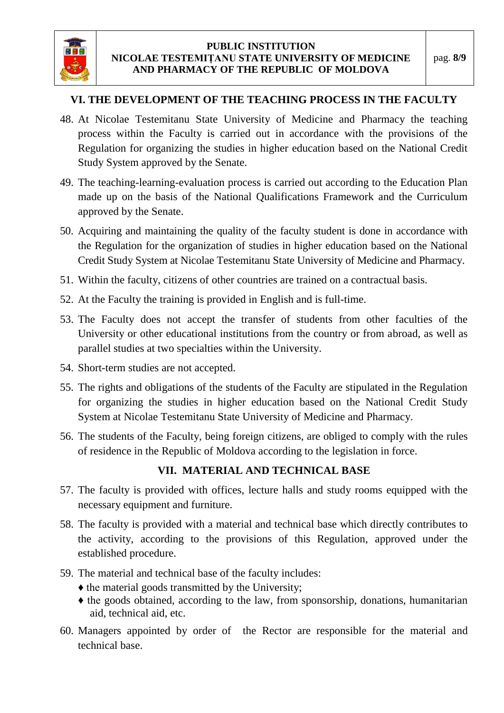

# **VI. THE DEVELOPMENT OF THE TEACHING PROCESS IN THE FACULTY**

- 48. At Nicolae Testemitanu State University of Medicine and Pharmacy the teaching process within the Faculty is carried out in accordance with the provisions of the Regulation for organizing the studies in higher education based on the National Credit Study System approved by the Senate.
- 49. The teaching-learning-evaluation process is carried out according to the Education Plan made up on the basis of the National Qualifications Framework and the Curriculum approved by the Senate.
- 50. Acquiring and maintaining the quality of the faculty student is done in accordance with the Regulation for the organization of studies in higher education based on the National Credit Study System at Nicolae Testemitanu State University of Medicine and Pharmacy.
- 51. Within the faculty, citizens of other countries are trained on a contractual basis.
- 52. At the Faculty the training is provided in English and is full-time.
- 53. The Faculty does not accept the transfer of students from other faculties of the University or other educational institutions from the country or from abroad, as well as parallel studies at two specialties within the University.
- 54. Short-term studies are not accepted.
- 55. The rights and obligations of the students of the Faculty are stipulated in the Regulation for organizing the studies in higher education based on the National Credit Study System at Nicolae Testemitanu State University of Medicine and Pharmacy.
- 56. The students of the Faculty, being foreign citizens, are obliged to comply with the rules of residence in the Republic of Moldova according to the legislation in force.

# **VII. MATERIAL AND TECHNICAL BASE**

- 57. The faculty is provided with offices, lecture halls and study rooms equipped with the necessary equipment and furniture.
- 58. The faculty is provided with a material and technical base which directly contributes to the activity, according to the provisions of this Regulation, approved under the established procedure.
- 59. The material and technical base of the faculty includes:
	- ♦ the material goods transmitted by the University;
	- ♦ the goods obtained, according to the law, from sponsorship, donations, humanitarian aid, technical aid, etc.
- 60. Managers appointed by order of the Rector are responsible for the material and technical base.